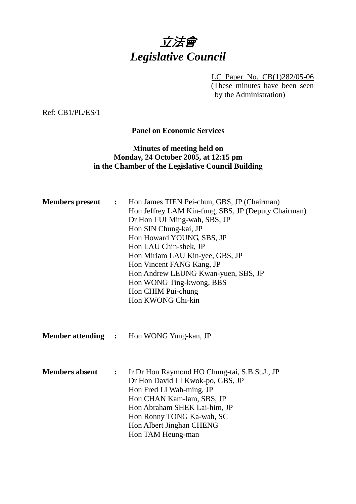

LC Paper No. CB(1)282/05-06 (These minutes have been seen by the Administration)

Ref: CB1/PL/ES/1

**Panel on Economic Services** 

# **Minutes of meeting held on Monday, 24 October 2005, at 12:15 pm in the Chamber of the Legislative Council Building**

| <b>Members</b> present    | $\ddot{\bullet}$ | Hon James TIEN Pei-chun, GBS, JP (Chairman)<br>Hon Jeffrey LAM Kin-fung, SBS, JP (Deputy Chairman)<br>Dr Hon LUI Ming-wah, SBS, JP<br>Hon SIN Chung-kai, JP<br>Hon Howard YOUNG, SBS, JP<br>Hon LAU Chin-shek, JP<br>Hon Miriam LAU Kin-yee, GBS, JP<br>Hon Vincent FANG Kang, JP<br>Hon Andrew LEUNG Kwan-yuen, SBS, JP<br>Hon WONG Ting-kwong, BBS<br>Hon CHIM Pui-chung<br>Hon KWONG Chi-kin |
|---------------------------|------------------|-------------------------------------------------------------------------------------------------------------------------------------------------------------------------------------------------------------------------------------------------------------------------------------------------------------------------------------------------------------------------------------------------|
| <b>Member attending :</b> |                  | Hon WONG Yung-kan, JP                                                                                                                                                                                                                                                                                                                                                                           |
| <b>Members absent</b>     | $\ddot{\cdot}$   | Ir Dr Hon Raymond HO Chung-tai, S.B.St.J., JP<br>Dr Hon David LI Kwok-po, GBS, JP<br>Hon Fred LI Wah-ming, JP<br>Hon CHAN Kam-lam, SBS, JP<br>Hon Abraham SHEK Lai-him, JP<br>Hon Ronny TONG Ka-wah, SC<br>Hon Albert Jinghan CHENG<br>Hon TAM Heung-man                                                                                                                                        |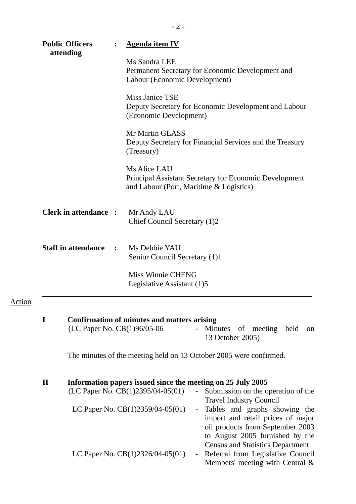| <b>Public Officers</b> |                                              | <b>Agenda item IV</b>                                                                                                                                                                  |  |  |  |  |
|------------------------|----------------------------------------------|----------------------------------------------------------------------------------------------------------------------------------------------------------------------------------------|--|--|--|--|
|                        | attending                                    | Ms Sandra LEE<br>Permanent Secretary for Economic Development and<br>Labour (Economic Development)                                                                                     |  |  |  |  |
|                        |                                              | Miss Janice TSE<br>Deputy Secretary for Economic Development and Labour<br>(Economic Development)                                                                                      |  |  |  |  |
|                        |                                              | Mr Martin GLASS<br>Deputy Secretary for Financial Services and the Treasury<br>(Treasury)                                                                                              |  |  |  |  |
|                        |                                              | Ms Alice LAU<br><b>Principal Assistant Secretary for Economic Development</b><br>and Labour (Port, Maritime & Logistics)                                                               |  |  |  |  |
|                        | <b>Clerk in attendance :</b>                 | Mr Andy LAU<br>Chief Council Secretary (1)2                                                                                                                                            |  |  |  |  |
|                        | <b>Staff in attendance</b><br>$\ddot{\cdot}$ | Ms Debbie YAU<br>Senior Council Secretary (1)1                                                                                                                                         |  |  |  |  |
|                        |                                              | Miss Winnie CHENG<br>Legislative Assistant (1)5                                                                                                                                        |  |  |  |  |
| I                      | (LC Paper No. CB(1)96/05-06                  | <b>Confirmation of minutes and matters arising</b><br>Minutes of meeting held<br>$\sim$<br><sub>on</sub><br>13 October 2005)                                                           |  |  |  |  |
|                        |                                              | The minutes of the meeting held on 13 October 2005 were confirmed.                                                                                                                     |  |  |  |  |
| $\mathbf{I}$           |                                              | Information papers issued since the meeting on 25 July 2005<br>(LC Paper No. $CB(1)2395/04-05(01)$ )<br>Submission on the operation of the<br>$\sim$<br><b>Travel Industry Council</b> |  |  |  |  |

Action

| LC Paper No. CB(1)2359/04-05(01)   | - Tables and graphs showing the         |
|------------------------------------|-----------------------------------------|
|                                    | import and retail prices of major       |
|                                    | oil products from September 2003        |
|                                    | to August 2005 furnished by the         |
|                                    | <b>Census and Statistics Department</b> |
| LC Paper No. $CB(1)2326/04-05(01)$ | - Referral from Legislative Council     |
|                                    | Members' meeting with Central $\&$      |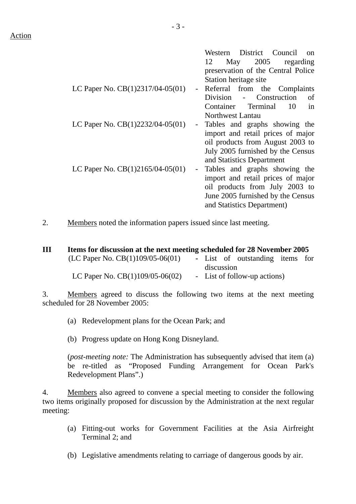|                                    |               | Western District Council<br>$^{on}$ |  |  |  |  |
|------------------------------------|---------------|-------------------------------------|--|--|--|--|
|                                    |               | May 2005<br>12<br>regarding         |  |  |  |  |
|                                    |               | preservation of the Central Police  |  |  |  |  |
|                                    |               | Station heritage site               |  |  |  |  |
| LC Paper No. $CB(1)2317/04-05(01)$ |               | Referral from the Complaints        |  |  |  |  |
|                                    |               | Division - Construction<br>οf       |  |  |  |  |
|                                    |               | Container Terminal<br>10<br>in      |  |  |  |  |
|                                    |               | <b>Northwest Lantau</b>             |  |  |  |  |
| LC Paper No. $CB(1)2232/04-05(01)$ | $\sim$        | Tables and graphs showing the       |  |  |  |  |
|                                    |               | import and retail prices of major   |  |  |  |  |
|                                    |               | oil products from August 2003 to    |  |  |  |  |
|                                    |               | July 2005 furnished by the Census   |  |  |  |  |
|                                    |               | and Statistics Department           |  |  |  |  |
| LC Paper No. $CB(1)2165/04-05(01)$ | $\frac{1}{2}$ | Tables and graphs showing the       |  |  |  |  |
|                                    |               | import and retail prices of major   |  |  |  |  |
|                                    |               | oil products from July 2003 to      |  |  |  |  |
|                                    |               | June 2005 furnished by the Census   |  |  |  |  |
|                                    |               |                                     |  |  |  |  |
|                                    |               | and Statistics Department)          |  |  |  |  |

2. Members noted the information papers issued since last meeting.

| Ш | Items for discussion at the next meeting scheduled for 28 November 2005 |            |  |                              |                                 |  |  |  |
|---|-------------------------------------------------------------------------|------------|--|------------------------------|---------------------------------|--|--|--|
|   | (LC Paper No. $CB(1)109/05-06(01)$                                      |            |  |                              | - List of outstanding items for |  |  |  |
|   |                                                                         | discussion |  |                              |                                 |  |  |  |
|   | LC Paper No. $CB(1)109/05-06(02)$                                       |            |  | - List of follow-up actions) |                                 |  |  |  |

3. Members agreed to discuss the following two items at the next meeting scheduled for 28 November 2005:

(a) Redevelopment plans for the Ocean Park; and

(b) Progress update on Hong Kong Disneyland.

(*post-meeting note:* The Administration has subsequently advised that item (a) be re-titled as "Proposed Funding Arrangement for Ocean Park's Redevelopment Plans".)

4. Members also agreed to convene a special meeting to consider the following two items originally proposed for discussion by the Administration at the next regular meeting:

- (a) Fitting-out works for Government Facilities at the Asia Airfreight Terminal 2; and
- (b) Legislative amendments relating to carriage of dangerous goods by air.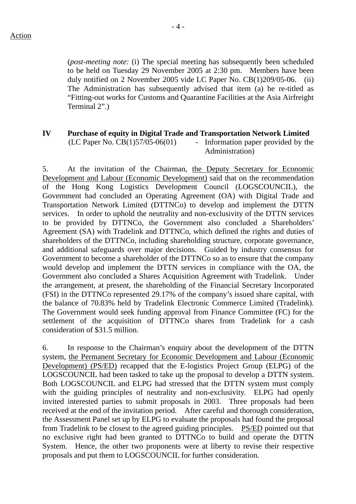(*post-meeting note:* (i) The special meeting has subsequently been scheduled to be held on Tuesday 29 November 2005 at 2:30 pm. Members have been duly notified on 2 November 2005 vide LC Paper No. CB(1)209/05-06. (ii) The Administration has subsequently advised that item (a) be re-titled as "Fitting-out works for Customs and Quarantine Facilities at the Asia Airfreight Terminal 2".)

# **IV Purchase of equity in Digital Trade and Transportation Network Limited**

 $(LC$  Paper No.  $CB(1)57/05-06(01)$  - Information paper provided by the Administration)

5. At the invitation of the Chairman, the Deputy Secretary for Economic Development and Labour (Economic Development) said that on the recommendation of the Hong Kong Logistics Development Council (LOGSCOUNCIL), the Government had concluded an Operating Agreement (OA) with Digital Trade and Transportation Network Limited (DTTNCo) to develop and implement the DTTN services. In order to uphold the neutrality and non-exclusivity of the DTTN services to be provided by DTTNCo, the Government also concluded a Shareholders' Agreement (SA) with Tradelink and DTTNCo, which defined the rights and duties of shareholders of the DTTNCo, including shareholding structure, corporate governance, and additional safeguards over major decisions. Guided by industry consensus for Government to become a shareholder of the DTTNCo so as to ensure that the company would develop and implement the DTTN services in compliance with the OA, the Government also concluded a Shares Acquisition Agreement with Tradelink. Under the arrangement, at present, the shareholding of the Financial Secretary Incorporated (FSI) in the DTTNCo represented 29.17% of the company's issued share capital, with the balance of 70.83% held by Tradelink Electronic Commerce Limited (Tradelink). The Government would seek funding approval from Finance Committee (FC) for the settlement of the acquisition of DTTNCo shares from Tradelink for a cash consideration of \$31.5 million.

6. In response to the Chairman's enquiry about the development of the DTTN system, the Permanent Secretary for Economic Development and Labour (Economic Development) (PS/ED) recapped that the E-logistics Project Group (ELPG) of the LOGSCOUNCIL had been tasked to take up the proposal to develop a DTTN system. Both LOGSCOUNCIL and ELPG had stressed that the DTTN system must comply with the guiding principles of neutrality and non-exclusivity. ELPG had openly invited interested parties to submit proposals in 2003. Three proposals had been received at the end of the invitation period. After careful and thorough consideration, the Assessment Panel set up by ELPG to evaluate the proposals had found the proposal from Tradelink to be closest to the agreed guiding principles. PS/ED pointed out that no exclusive right had been granted to DTTNCo to build and operate the DTTN System. Hence, the other two proponents were at liberty to revise their respective proposals and put them to LOGSCOUNCIL for further consideration.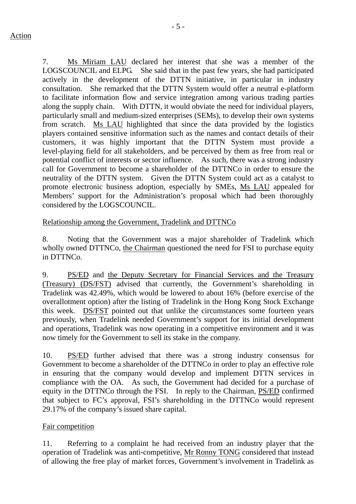7. Ms Miriam LAU declared her interest that she was a member of the LOGSCOUNCIL and ELPG. She said that in the past few years, she had participated actively in the development of the DTTN initiative, in particular in industry consultation. She remarked that the DTTN System would offer a neutral e-platform to facilitate information flow and service integration among various trading parties along the supply chain. With DTTN, it would obviate the need for individual players, particularly small and medium-sized enterprises (SEMs), to develop their own systems from scratch. Ms LAU highlighted that since the data provided by the logistics players contained sensitive information such as the names and contact details of their customers, it was highly important that the DTTN System must provide a level-playing field for all stakeholders, and be perceived by them as free from real or potential conflict of interests or sector influence. As such, there was a strong industry call for Government to become a shareholder of the DTTNCo in order to ensure the neutrality of the DTTN system. Given the DTTN System could act as a catalyst to promote electronic business adoption, especially by SMEs, Ms LAU appealed for Members' support for the Administration's proposal which had been thoroughly considered by the LOGSCOUNCIL.

# Relationship among the Government, Tradelink and DTTNCo

8. Noting that the Government was a major shareholder of Tradelink which wholly owned DTTNCo, the Chairman questioned the need for FSI to purchase equity in DTTNCo.

9. PS/ED and the Deputy Secretary for Financial Services and the Treasury (Treasury) (DS/FST) advised that currently, the Government's shareholding in Tradelink was 42.49%, which would be lowered to about 16% (before exercise of the overallotment option) after the listing of Tradelink in the Hong Kong Stock Exchange this week. DS/FST pointed out that unlike the circumstances some fourteen years previously, when Tradelink needed Government's support for its initial development and operations, Tradelink was now operating in a competitive environment and it was now timely for the Government to sell its stake in the company.

10. PS/ED further advised that there was a strong industry consensus for Government to become a shareholder of the DTTNCo in order to play an effective role in ensuring that the company would develop and implement DTTN services in compliance with the OA. As such, the Government had decided for a purchase of equity in the DTTNCo through the FSI. In reply to the Chairman, PS/ED confirmed that subject to FC's approval, FSI's shareholding in the DTTNCo would represent 29.17% of the company's issued share capital.

### Fair competition

11. Referring to a complaint he had received from an industry player that the operation of Tradelink was anti-competitive, Mr Ronny TONG considered that instead of allowing the free play of market forces, Government's involvement in Tradelink as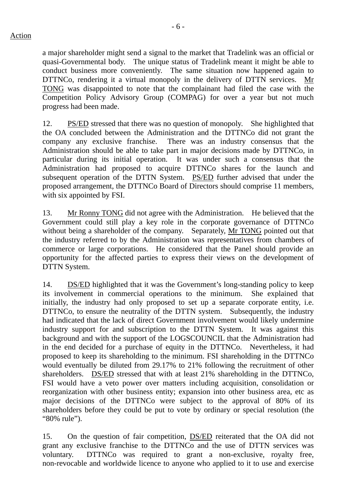a major shareholder might send a signal to the market that Tradelink was an official or quasi-Governmental body. The unique status of Tradelink meant it might be able to conduct business more conveniently. The same situation now happened again to DTTNCo, rendering it a virtual monopoly in the delivery of DTTN services. Mr TONG was disappointed to note that the complainant had filed the case with the Competition Policy Advisory Group (COMPAG) for over a year but not much progress had been made.

12. PS/ED stressed that there was no question of monopoly. She highlighted that the OA concluded between the Administration and the DTTNCo did not grant the company any exclusive franchise. There was an industry consensus that the Administration should be able to take part in major decisions made by DTTNCo, in particular during its initial operation. It was under such a consensus that the Administration had proposed to acquire DTTNCo shares for the launch and subsequent operation of the DTTN System. PS/ED further advised that under the proposed arrangement, the DTTNCo Board of Directors should comprise 11 members, with six appointed by FSI.

13. Mr Ronny TONG did not agree with the Administration. He believed that the Government could still play a key role in the corporate governance of DTTNCo without being a shareholder of the company. Separately, Mr TONG pointed out that the industry referred to by the Administration was representatives from chambers of commerce or large corporations. He considered that the Panel should provide an opportunity for the affected parties to express their views on the development of DTTN System.

14. DS/ED highlighted that it was the Government's long-standing policy to keep its involvement in commercial operations to the minimum. She explained that initially, the industry had only proposed to set up a separate corporate entity, i.e. DTTNCo, to ensure the neutrality of the DTTN system. Subsequently, the industry had indicated that the lack of direct Government involvement would likely undermine industry support for and subscription to the DTTN System. It was against this background and with the support of the LOGSCOUNCIL that the Administration had in the end decided for a purchase of equity in the DTTNCo. Nevertheless, it had proposed to keep its shareholding to the minimum. FSI shareholding in the DTTNCo would eventually be diluted from 29.17% to 21% following the recruitment of other shareholders. DS/ED stressed that with at least 21% shareholding in the DTTNCo, FSI would have a veto power over matters including acquisition, consolidation or reorganization with other business entity; expansion into other business area, etc as major decisions of the DTTNCo were subject to the approval of 80% of its shareholders before they could be put to vote by ordinary or special resolution (the "80% rule").

15. On the question of fair competition, DS/ED reiterated that the OA did not grant any exclusive franchise to the DTTNCo and the use of DTTN services was voluntary. DTTNCo was required to grant a non-exclusive, royalty free, non-revocable and worldwide licence to anyone who applied to it to use and exercise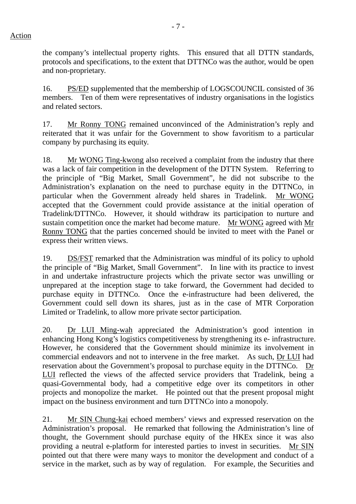the company's intellectual property rights. This ensured that all DTTN standards, protocols and specifications, to the extent that DTTNCo was the author, would be open and non-proprietary.

16. PS/ED supplemented that the membership of LOGSCOUNCIL consisted of 36 members. Ten of them were representatives of industry organisations in the logistics and related sectors.

17. Mr Ronny TONG remained unconvinced of the Administration's reply and reiterated that it was unfair for the Government to show favoritism to a particular company by purchasing its equity.

18. Mr WONG Ting-kwong also received a complaint from the industry that there was a lack of fair competition in the development of the DTTN System. Referring to the principle of "Big Market, Small Government", he did not subscribe to the Administration's explanation on the need to purchase equity in the DTTNCo, in particular when the Government already held shares in Tradelink. Mr WONG accepted that the Government could provide assistance at the initial operation of Tradelink/DTTNCo. However, it should withdraw its participation to nurture and sustain competition once the market had become mature. Mr WONG agreed with Mr Ronny TONG that the parties concerned should be invited to meet with the Panel or express their written views.

19. DS/FST remarked that the Administration was mindful of its policy to uphold the principle of "Big Market, Small Government". In line with its practice to invest in and undertake infrastructure projects which the private sector was unwilling or unprepared at the inception stage to take forward, the Government had decided to purchase equity in DTTNCo. Once the e-infrastructure had been delivered, the Government could sell down its shares, just as in the case of MTR Corporation Limited or Tradelink, to allow more private sector participation.

20. Dr LUI Ming-wah appreciated the Administration's good intention in enhancing Hong Kong's logistics competitiveness by strengthening its e- infrastructure. However, he considered that the Government should minimize its involvement in commercial endeavors and not to intervene in the free market. As such, Dr LUI had reservation about the Government's proposal to purchase equity in the DTTNCo. Dr LUI reflected the views of the affected service providers that Tradelink, being a quasi-Governmental body, had a competitive edge over its competitors in other projects and monopolize the market. He pointed out that the present proposal might impact on the business environment and turn DTTNCo into a monopoly.

21. Mr SIN Chung-kai echoed members' views and expressed reservation on the Administration's proposal. He remarked that following the Administration's line of thought, the Government should purchase equity of the HKEx since it was also providing a neutral e-platform for interested parties to invest in securities. Mr SIN pointed out that there were many ways to monitor the development and conduct of a service in the market, such as by way of regulation. For example, the Securities and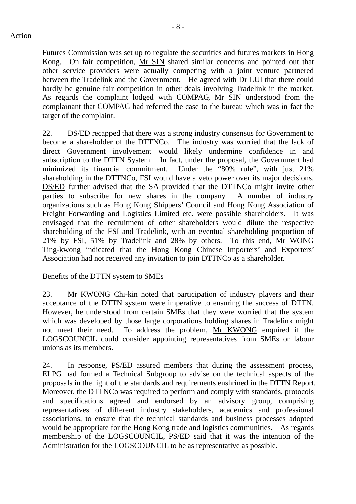Futures Commission was set up to regulate the securities and futures markets in Hong Kong. On fair competition, Mr SIN shared similar concerns and pointed out that other service providers were actually competing with a joint venture partnered between the Tradelink and the Government. He agreed with Dr LUI that there could hardly be genuine fair competition in other deals involving Tradelink in the market. As regards the complaint lodged with COMPAG, Mr SIN understood from the complainant that COMPAG had referred the case to the bureau which was in fact the target of the complaint.

22. DS/ED recapped that there was a strong industry consensus for Government to become a shareholder of the DTTNCo. The industry was worried that the lack of direct Government involvement would likely undermine confidence in and subscription to the DTTN System. In fact, under the proposal, the Government had minimized its financial commitment. Under the "80% rule", with just 21% shareholding in the DTTNCo, FSI would have a veto power over its major decisions. DS/ED further advised that the SA provided that the DTTNCo might invite other parties to subscribe for new shares in the company. A number of industry organizations such as Hong Kong Shippers' Council and Hong Kong Association of Freight Forwarding and Logistics Limited etc. were possible shareholders. It was envisaged that the recruitment of other shareholders would dilute the respective shareholding of the FSI and Tradelink, with an eventual shareholding proportion of 21% by FSI, 51% by Tradelink and 28% by others. To this end, Mr WONG Ting-kwong indicated that the Hong Kong Chinese Importers' and Exporters' Association had not received any invitation to join DTTNCo as a shareholder.

### Benefits of the DTTN system to SMEs

23. Mr KWONG Chi-kin noted that participation of industry players and their acceptance of the DTTN system were imperative to ensuring the success of DTTN. However, he understood from certain SMEs that they were worried that the system which was developed by those large corporations holding shares in Tradelink might not meet their need. To address the problem, Mr KWONG enquired if the LOGSCOUNCIL could consider appointing representatives from SMEs or labour unions as its members.

24. In response, PS/ED assured members that during the assessment process, ELPG had formed a Technical Subgroup to advise on the technical aspects of the proposals in the light of the standards and requirements enshrined in the DTTN Report. Moreover, the DTTNCo was required to perform and comply with standards, protocols and specifications agreed and endorsed by an advisory group, comprising representatives of different industry stakeholders, academics and professional associations, to ensure that the technical standards and business processes adopted would be appropriate for the Hong Kong trade and logistics communities. As regards membership of the LOGSCOUNCIL, PS/ED said that it was the intention of the Administration for the LOGSCOUNCIL to be as representative as possible.